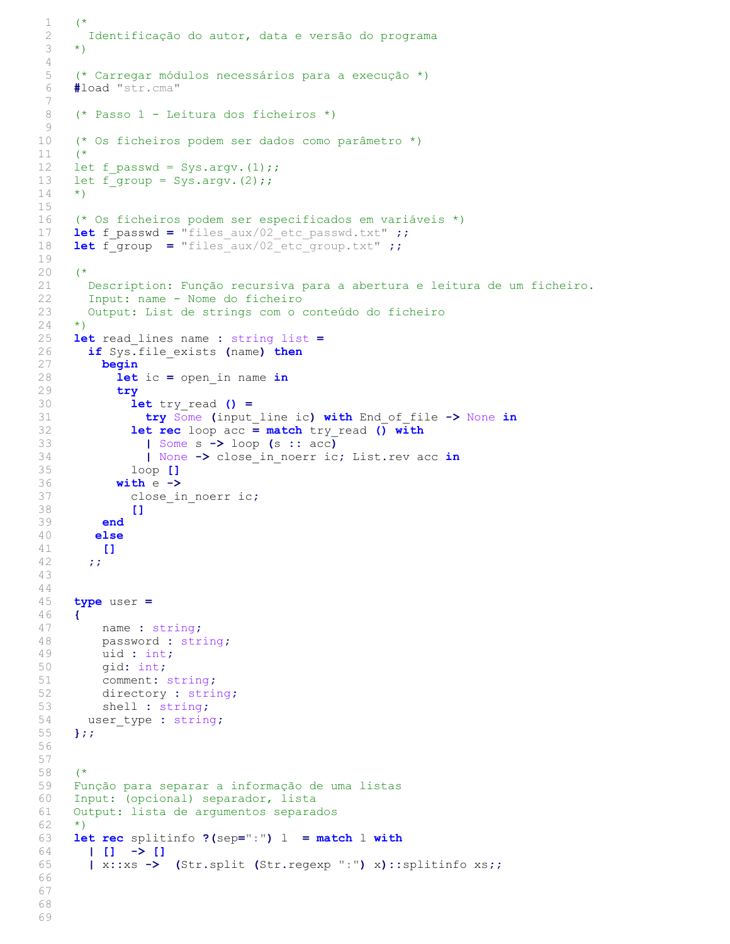```
1 (*
 2 Identificação do autor, data e versão do programa
 3 \times 14 
 5 (* Carregar módulos necessários para a execução *)
 6 #load "str.cma"
 7 
8 (* Passo 1 - Leitura dos ficheiros *)
9 
10 (* Os ficheiros podem ser dados como parâmetro *)
11 (*
12 let f passwd = Sys.argv.(1);;
13 let f group = Sys.argv.(2);;
14 \times15 
16 (* Os ficheiros podem ser especificados em variáveis *)
17 let f passwd = "files aux/02 etc passwd.txt" ;;
18 let f group = "files aux/02 etc group.txt" ;;
19 
20 (*
21 Description: Função recursiva para a abertura e leitura de um ficheiro.
22 Input: name - Nome do ficheiro
23 Output: List de strings com o conteúdo do ficheiro
24 *)<br>25 1e
25 let read_lines name : string list =<br>26 if Sys.file exists (name) then
       if Sys.file exists (name) then
27 begin
28 let ic = open_in name in<br>29 try
           try
30 let try read () =31 try Some (input_line ic) with End_of_file -> None in<br>32 let rec loop acc = match try read () with
32 let rec loop acc = \text{match} try_read () with<br>33 l Some s -> loop (s :: acc)
                | Some s \rightarrow loop (s :: acc)
34 | None -> close_in_noerr ic; List.rev acc in<br>35 100p []
              loop []36 with e -><br>37 close i
              close in noerr ic;
38 []
39 end
40 else
41 []
42 ;;
43 
44 
45 type user =
46 {<br>47name : string;
48 password : string;
49 uid : int;<br>50 qid: int;
         gid: int;
51 comment: string;
52 directory : string;
53 shell: string;<br>54 user type: strin
      user type : string;
55 };;
56 
57 
58 (*
59 Função para separar a informação de uma listas
60 Input: (opcional) separador, lista
     Output: lista de argumentos separados
62 *)<br>63 le
63 let rec splitinfo ?(sep=":") l = match l with<br>64 l l1 \rightarrow l164 | [ | ] -> []<br>65 | x::xs ->
       65 | x::xs -> (Str.split (Str.regexp ":") x)::splitinfo xs;;
66 
67 
68 
69
```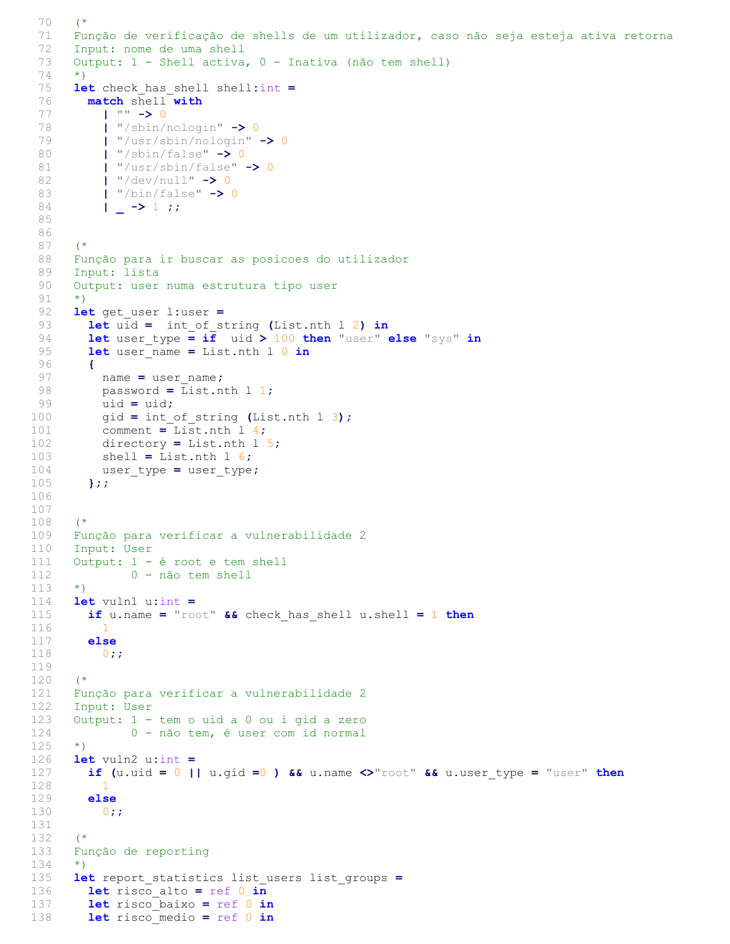```
70 (*
 71 Função de verificação de shells de um utilizador, caso não seja esteja ativa retorna
 72 Input: nome de uma shell<br>73 Output: 1 - Shell activa
       Output: 1 - Shell activa, 0 - Inativa (não tem shell)
 74 *)
 75 let check_has_shell shell:int = 76 match shell with
        match shell with
 77 | "" -> 0
 78 | "/sbin/nologin" -> 0
 79 | "/usr/sbin/nologin" -> 0
 80 | \sqrt{3} \frac{1 \times 5}{100} \sqrt{3} \frac{1}{2} \sqrt{3} \sqrt{3} \sqrt{2} \sqrt{3} \sqrt{2} \sqrt{2} \sqrt{2} \sqrt{2} \sqrt{2} \sqrt{2} \sqrt{2} \sqrt{2} \sqrt{2} \sqrt{2} \sqrt{2} \sqrt{2} \sqrt{2} \sqrt{2} \sqrt{2} \sqrt{2} \sqrt{2} \sqrt{2}81 | "/usr/sbin/false" -> 0
 82 | "/dev/null" -> 0
 83 | ''/\text{bin/false} -> 0
 84 | -> 1;;
 85 
 86 
 87 (*
 88 Função para ir buscar as posicoes do utilizador
 89 Input: lista
 90 Output: user numa estrutura tipo user
 91 *)
 92 let get_user l:user =<br>93 let uid = int of s
 93 let uid = int_of_string (List.nth 1 2) in<br>94 let user type = if uid > 100 then "user"
          let user type = if uid > 100 then "user" else "sys" in
 95 let user name = List.nth l 0 in
 96 {
 97 name = user name;
 98 password = List.nth 1 1;<br>99 uid = uid:
           uid = uid;100 gid = int_of_string (List.nth 1 3);<br>101 comment = List.nth 1 4;
101 comment = List.nth 1\ 4;<br>102 directory = List.nth 1
           directory = List.nth 1\,5;
103 shell = List.nth 1 6;<br>104 user type = user type
           user_type = user_type;
105 };;
106 
107 
108 (*
109 Função para verificar a vulnerabilidade 2
110 Input: User
111 Output: 1 - é root e tem shell
112 0 - não tem shell
113 *)
114 let vuln1 u:int = 115 if u.name = "roo
        if u.name = "root" &c check has shell u.shell = 1 then
116 1
117 else
118 0;;
119 
120 (*
121 Função para verificar a vulnerabilidade 2
122 Input: User
123 Output: 1 - tem o uid a 0 ou i gid a zero
124 0 - não tem, é user com id normal
125 *)<br>126 le
126 let vuln2 u:int =<br>127 if (u.uid = 0 |
          if (u.uid = 0 || u.gid = 0) && u.name <>"root" && u.user type = "user" then
128 1
129 else<br>130 0;
           0;;
131 
132 (*
133 Função de reporting
134 *)
135 let report_statistics list_users list_groups = 136 let risco alto = ref 0 in
136 let risco_alto = ref 0 in<br>137 let risco baixo = ref 0 in
         let risco baixo = ref 0 in
138 let risco medio = ref 0 in
```